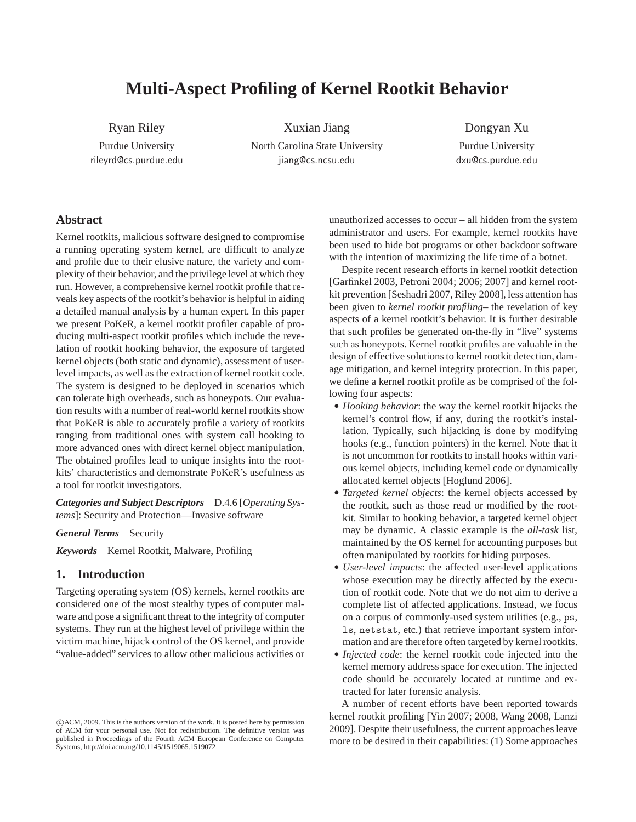# **Multi-Aspect Profiling of Kernel Rootkit Behavior**

Ryan Riley

Purdue University rileyrd@cs.purdue.edu North Carolina State University jiang@cs.ncsu.edu

Xuxian Jiang

Dongyan Xu Purdue University dxu@cs.purdue.edu

# **Abstract**

Kernel rootkits, malicious software designed to compromise a running operating system kernel, are difficult to analyze and profile due to their elusive nature, the variety and complexity of their behavior, and the privilege level at which they run. However, a comprehensive kernel rootkit profile that reveals key aspects of the rootkit's behavior is helpful in aiding a detailed manual analysis by a human expert. In this paper we present PoKeR, a kernel rootkit profiler capable of producing multi-aspect rootkit profiles which include the revelation of rootkit hooking behavior, the exposure of targeted kernel objects (both static and dynamic), assessment of userlevel impacts, as well as the extraction of kernel rootkit code. The system is designed to be deployed in scenarios which can tolerate high overheads, such as honeypots. Our evaluation results with a number of real-world kernel rootkits show that PoKeR is able to accurately profile a variety of rootkits ranging from traditional ones with system call hooking to more advanced ones with direct kernel object manipulation. The obtained profiles lead to unique insights into the rootkits' characteristics and demonstrate PoKeR's usefulness as a tool for rootkit investigators.

*Categories and Subject Descriptors* D.4.6 [*Operating Systems*]: Security and Protection—Invasive software

*General Terms* Security

*Keywords* Kernel Rootkit, Malware, Profiling

## **1. Introduction**

Targeting operating system (OS) kernels, kernel rootkits are considered one of the most stealthy types of computer malware and pose a significant threat to the integrity of computer systems. They run at the highest level of privilege within the victim machine, hijack control of the OS kernel, and provide "value-added" services to allow other malicious activities or unauthorized accesses to occur – all hidden from the system administrator and users. For example, kernel rootkits have been used to hide bot programs or other backdoor software with the intention of maximizing the life time of a botnet.

Despite recent research efforts in kernel rootkit detection [Garfinkel 2003, Petroni 2004; 2006; 2007] and kernel rootkit prevention [Seshadri 2007, Riley 2008], less attention has been given to *kernel rootkit profiling*– the revelation of key aspects of a kernel rootkit's behavior. It is further desirable that such profiles be generated on-the-fly in "live" systems such as honeypots. Kernel rootkit profiles are valuable in the design of effective solutions to kernel rootkit detection, damage mitigation, and kernel integrity protection. In this paper, we define a kernel rootkit profile as be comprised of the following four aspects:

- *Hooking behavior*: the way the kernel rootkit hijacks the kernel's control flow, if any, during the rootkit's installation. Typically, such hijacking is done by modifying hooks (e.g., function pointers) in the kernel. Note that it is not uncommon for rootkits to install hooks within various kernel objects, including kernel code or dynamically allocated kernel objects [Hoglund 2006].
- *Targeted kernel objects*: the kernel objects accessed by the rootkit, such as those read or modified by the rootkit. Similar to hooking behavior, a targeted kernel object may be dynamic. A classic example is the *all-task* list, maintained by the OS kernel for accounting purposes but often manipulated by rootkits for hiding purposes.
- *User-level impacts*: the affected user-level applications whose execution may be directly affected by the execution of rootkit code. Note that we do not aim to derive a complete list of affected applications. Instead, we focus on a corpus of commonly-used system utilities (e.g., ps, ls, netstat, etc.) that retrieve important system information and are therefore often targeted by kernel rootkits.
- *Injected code*: the kernel rootkit code injected into the kernel memory address space for execution. The injected code should be accurately located at runtime and extracted for later forensic analysis.

A number of recent efforts have been reported towards kernel rootkit profiling [Yin 2007; 2008, Wang 2008, Lanzi 2009]. Despite their usefulness, the current approaches leave more to be desired in their capabilities: (1) Some approaches

c ACM, 2009. This is the authors version of the work. It is posted here by permission of ACM for your personal use. Not for redistribution. The definitive version was published in Proceedings of the Fourth ACM European Conference on Computer Systems, http://doi.acm.org/10.1145/1519065.1519072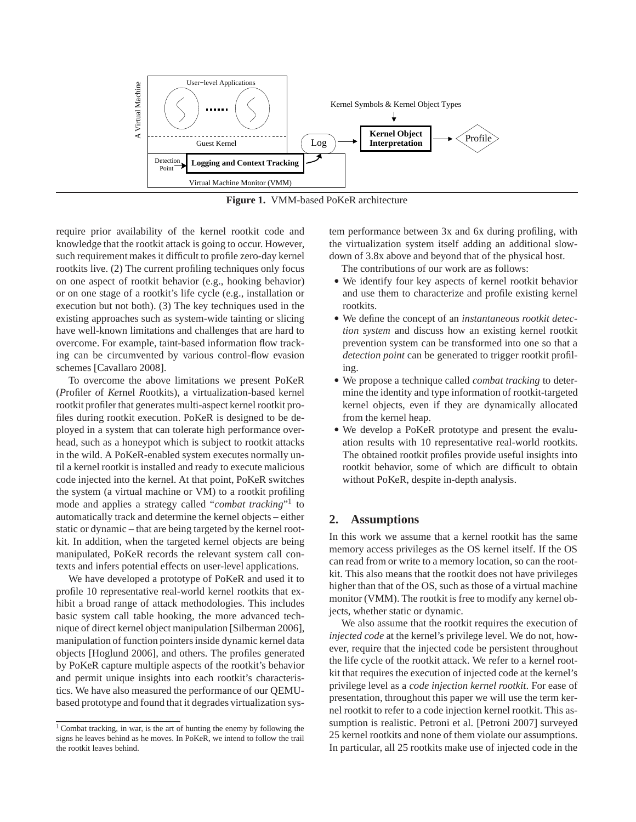

**Figure 1.** VMM-based PoKeR architecture

require prior availability of the kernel rootkit code and knowledge that the rootkit attack is going to occur. However, such requirement makes it difficult to profile zero-day kernel rootkits live. (2) The current profiling techniques only focus on one aspect of rootkit behavior (e.g., hooking behavior) or on one stage of a rootkit's life cycle (e.g., installation or execution but not both). (3) The key techniques used in the existing approaches such as system-wide tainting or slicing have well-known limitations and challenges that are hard to overcome. For example, taint-based information flow tracking can be circumvented by various control-flow evasion schemes [Cavallaro 2008].

To overcome the above limitations we present PoKeR (*P*rofiler *o*f *Ke*rnel *R*ootkits), a virtualization-based kernel rootkit profiler that generates multi-aspect kernel rootkit profiles during rootkit execution. PoKeR is designed to be deployed in a system that can tolerate high performance overhead, such as a honeypot which is subject to rootkit attacks in the wild. A PoKeR-enabled system executes normally until a kernel rootkit is installed and ready to execute malicious code injected into the kernel. At that point, PoKeR switches the system (a virtual machine or VM) to a rootkit profiling mode and applies a strategy called "*combat tracking*" 1 to automatically track and determine the kernel objects – either static or dynamic – that are being targeted by the kernel rootkit. In addition, when the targeted kernel objects are being manipulated, PoKeR records the relevant system call contexts and infers potential effects on user-level applications.

We have developed a prototype of PoKeR and used it to profile 10 representative real-world kernel rootkits that exhibit a broad range of attack methodologies. This includes basic system call table hooking, the more advanced technique of direct kernel object manipulation [Silberman 2006], manipulation of function pointers inside dynamic kernel data objects [Hoglund 2006], and others. The profiles generated by PoKeR capture multiple aspects of the rootkit's behavior and permit unique insights into each rootkit's characteristics. We have also measured the performance of our QEMUbased prototype and found that it degrades virtualization system performance between 3x and 6x during profiling, with the virtualization system itself adding an additional slowdown of 3.8x above and beyond that of the physical host.

The contributions of our work are as follows:

- We identify four key aspects of kernel rootkit behavior and use them to characterize and profile existing kernel rootkits.
- We define the concept of an *instantaneous rootkit detection system* and discuss how an existing kernel rootkit prevention system can be transformed into one so that a *detection point* can be generated to trigger rootkit profiling.
- We propose a technique called *combat tracking* to determine the identity and type information of rootkit-targeted kernel objects, even if they are dynamically allocated from the kernel heap.
- We develop a PoKeR prototype and present the evaluation results with 10 representative real-world rootkits. The obtained rootkit profiles provide useful insights into rootkit behavior, some of which are difficult to obtain without PoKeR, despite in-depth analysis.

# **2. Assumptions**

In this work we assume that a kernel rootkit has the same memory access privileges as the OS kernel itself. If the OS can read from or write to a memory location, so can the rootkit. This also means that the rootkit does not have privileges higher than that of the OS, such as those of a virtual machine monitor (VMM). The rootkit is free to modify any kernel objects, whether static or dynamic.

We also assume that the rootkit requires the execution of *injected code* at the kernel's privilege level. We do not, however, require that the injected code be persistent throughout the life cycle of the rootkit attack. We refer to a kernel rootkit that requires the execution of injected code at the kernel's privilege level as a *code injection kernel rootkit*. For ease of presentation, throughout this paper we will use the term kernel rootkit to refer to a code injection kernel rootkit. This assumption is realistic. Petroni et al. [Petroni 2007] surveyed 25 kernel rootkits and none of them violate our assumptions. In particular, all 25 rootkits make use of injected code in the

<sup>1</sup> Combat tracking, in war, is the art of hunting the enemy by following the signs he leaves behind as he moves. In PoKeR, we intend to follow the trail the rootkit leaves behind.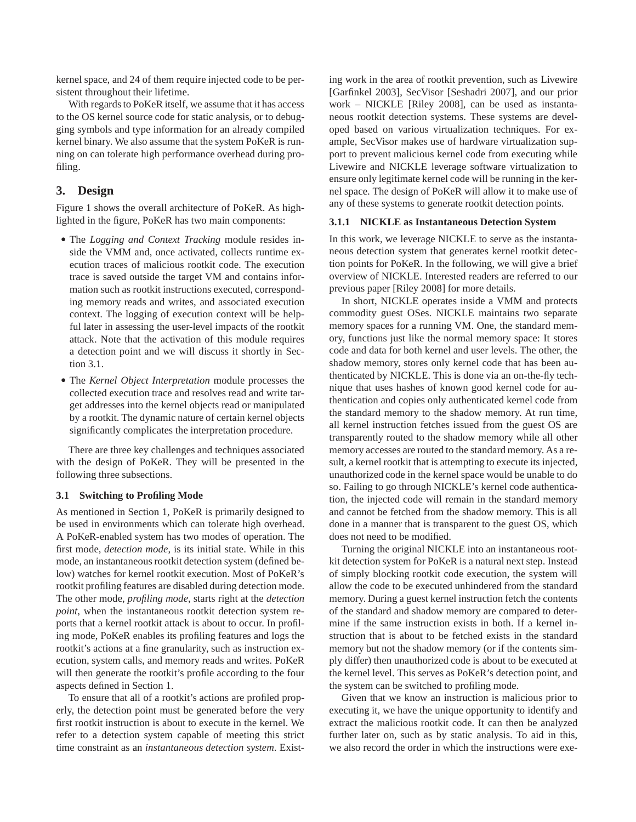kernel space, and 24 of them require injected code to be persistent throughout their lifetime.

With regards to PoKeR itself, we assume that it has access to the OS kernel source code for static analysis, or to debugging symbols and type information for an already compiled kernel binary. We also assume that the system PoKeR is running on can tolerate high performance overhead during profiling.

# **3. Design**

Figure 1 shows the overall architecture of PoKeR. As highlighted in the figure, PoKeR has two main components:

- The *Logging and Context Tracking* module resides inside the VMM and, once activated, collects runtime execution traces of malicious rootkit code. The execution trace is saved outside the target VM and contains information such as rootkit instructions executed, corresponding memory reads and writes, and associated execution context. The logging of execution context will be helpful later in assessing the user-level impacts of the rootkit attack. Note that the activation of this module requires a detection point and we will discuss it shortly in Section 3.1.
- The *Kernel Object Interpretation* module processes the collected execution trace and resolves read and write target addresses into the kernel objects read or manipulated by a rootkit. The dynamic nature of certain kernel objects significantly complicates the interpretation procedure.

There are three key challenges and techniques associated with the design of PoKeR. They will be presented in the following three subsections.

## **3.1 Switching to Profiling Mode**

As mentioned in Section 1, PoKeR is primarily designed to be used in environments which can tolerate high overhead. A PoKeR-enabled system has two modes of operation. The first mode, *detection mode*, is its initial state. While in this mode, an instantaneous rootkit detection system (defined below) watches for kernel rootkit execution. Most of PoKeR's rootkit profiling features are disabled during detection mode. The other mode, *profiling mode*, starts right at the *detection point*, when the instantaneous rootkit detection system reports that a kernel rootkit attack is about to occur. In profiling mode, PoKeR enables its profiling features and logs the rootkit's actions at a fine granularity, such as instruction execution, system calls, and memory reads and writes. PoKeR will then generate the rootkit's profile according to the four aspects defined in Section 1.

To ensure that all of a rootkit's actions are profiled properly, the detection point must be generated before the very first rootkit instruction is about to execute in the kernel. We refer to a detection system capable of meeting this strict time constraint as an *instantaneous detection system*. Existing work in the area of rootkit prevention, such as Livewire [Garfinkel 2003], SecVisor [Seshadri 2007], and our prior work – NICKLE [Riley 2008], can be used as instantaneous rootkit detection systems. These systems are developed based on various virtualization techniques. For example, SecVisor makes use of hardware virtualization support to prevent malicious kernel code from executing while Livewire and NICKLE leverage software virtualization to ensure only legitimate kernel code will be running in the kernel space. The design of PoKeR will allow it to make use of any of these systems to generate rootkit detection points.

#### **3.1.1 NICKLE as Instantaneous Detection System**

In this work, we leverage NICKLE to serve as the instantaneous detection system that generates kernel rootkit detection points for PoKeR. In the following, we will give a brief overview of NICKLE. Interested readers are referred to our previous paper [Riley 2008] for more details.

In short, NICKLE operates inside a VMM and protects commodity guest OSes. NICKLE maintains two separate memory spaces for a running VM. One, the standard memory, functions just like the normal memory space: It stores code and data for both kernel and user levels. The other, the shadow memory, stores only kernel code that has been authenticated by NICKLE. This is done via an on-the-fly technique that uses hashes of known good kernel code for authentication and copies only authenticated kernel code from the standard memory to the shadow memory. At run time, all kernel instruction fetches issued from the guest OS are transparently routed to the shadow memory while all other memory accesses are routed to the standard memory. As a result, a kernel rootkit that is attempting to execute its injected, unauthorized code in the kernel space would be unable to do so. Failing to go through NICKLE's kernel code authentication, the injected code will remain in the standard memory and cannot be fetched from the shadow memory. This is all done in a manner that is transparent to the guest OS, which does not need to be modified.

Turning the original NICKLE into an instantaneous rootkit detection system for PoKeR is a natural next step. Instead of simply blocking rootkit code execution, the system will allow the code to be executed unhindered from the standard memory. During a guest kernel instruction fetch the contents of the standard and shadow memory are compared to determine if the same instruction exists in both. If a kernel instruction that is about to be fetched exists in the standard memory but not the shadow memory (or if the contents simply differ) then unauthorized code is about to be executed at the kernel level. This serves as PoKeR's detection point, and the system can be switched to profiling mode.

Given that we know an instruction is malicious prior to executing it, we have the unique opportunity to identify and extract the malicious rootkit code. It can then be analyzed further later on, such as by static analysis. To aid in this, we also record the order in which the instructions were exe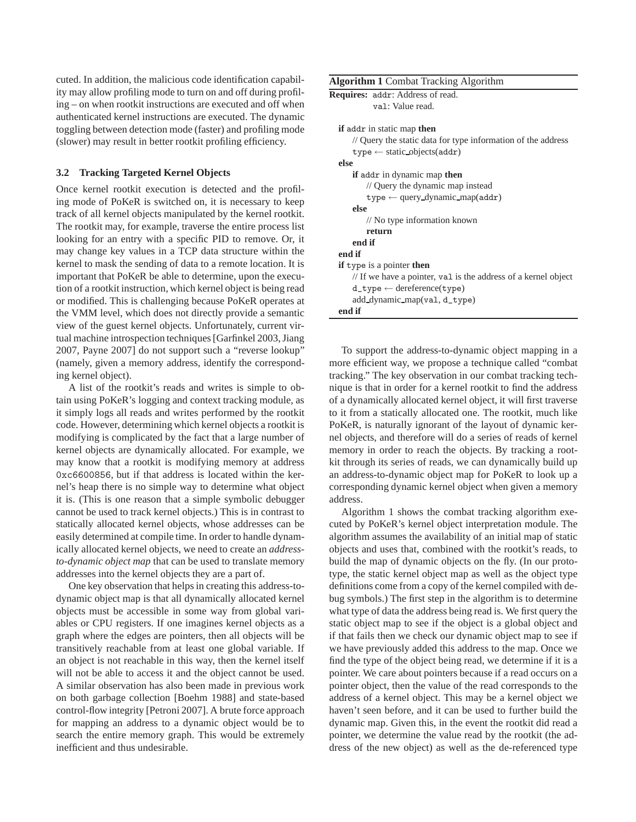cuted. In addition, the malicious code identification capability may allow profiling mode to turn on and off during profiling – on when rootkit instructions are executed and off when authenticated kernel instructions are executed. The dynamic toggling between detection mode (faster) and profiling mode (slower) may result in better rootkit profiling efficiency.

## **3.2 Tracking Targeted Kernel Objects**

Once kernel rootkit execution is detected and the profiling mode of PoKeR is switched on, it is necessary to keep track of all kernel objects manipulated by the kernel rootkit. The rootkit may, for example, traverse the entire process list looking for an entry with a specific PID to remove. Or, it may change key values in a TCP data structure within the kernel to mask the sending of data to a remote location. It is important that PoKeR be able to determine, upon the execution of a rootkit instruction, which kernel object is being read or modified. This is challenging because PoKeR operates at the VMM level, which does not directly provide a semantic view of the guest kernel objects. Unfortunately, current virtual machine introspection techniques [Garfinkel 2003, Jiang 2007, Payne 2007] do not support such a "reverse lookup" (namely, given a memory address, identify the corresponding kernel object).

A list of the rootkit's reads and writes is simple to obtain using PoKeR's logging and context tracking module, as it simply logs all reads and writes performed by the rootkit code. However, determining which kernel objects a rootkit is modifying is complicated by the fact that a large number of kernel objects are dynamically allocated. For example, we may know that a rootkit is modifying memory at address 0xc6600856, but if that address is located within the kernel's heap there is no simple way to determine what object it is. (This is one reason that a simple symbolic debugger cannot be used to track kernel objects.) This is in contrast to statically allocated kernel objects, whose addresses can be easily determined at compile time. In order to handle dynamically allocated kernel objects, we need to create an *addressto-dynamic object map* that can be used to translate memory addresses into the kernel objects they are a part of.

One key observation that helps in creating this address-todynamic object map is that all dynamically allocated kernel objects must be accessible in some way from global variables or CPU registers. If one imagines kernel objects as a graph where the edges are pointers, then all objects will be transitively reachable from at least one global variable. If an object is not reachable in this way, then the kernel itself will not be able to access it and the object cannot be used. A similar observation has also been made in previous work on both garbage collection [Boehm 1988] and state-based control-flow integrity [Petroni 2007]. A brute force approach for mapping an address to a dynamic object would be to search the entire memory graph. This would be extremely inefficient and thus undesirable.

| <b>Algorithm 1</b> Combat Tracking Algorithm                    |  |  |  |  |
|-----------------------------------------------------------------|--|--|--|--|
| <b>Requires:</b> addr: Address of read.                         |  |  |  |  |
| val: Value read.                                                |  |  |  |  |
|                                                                 |  |  |  |  |
| if addr in static map then                                      |  |  |  |  |
| // Query the static data for type information of the address    |  |  |  |  |
| $type \leftarrow static_oobjects(addr)$                         |  |  |  |  |
| else                                                            |  |  |  |  |
| if addr in dynamic map then                                     |  |  |  |  |
| // Query the dynamic map instead                                |  |  |  |  |
| $type \leftarrow query\_dynamic\_map(\text{addr})$              |  |  |  |  |
| else                                                            |  |  |  |  |
| // No type information known                                    |  |  |  |  |
| return                                                          |  |  |  |  |
| end if                                                          |  |  |  |  |
| end if                                                          |  |  |  |  |
| <b>if</b> type is a pointer <b>then</b>                         |  |  |  |  |
| // If we have a pointer, val is the address of a kernel object  |  |  |  |  |
| $d_{\texttt{type}} \leftarrow \text{derference}(\texttt{type})$ |  |  |  |  |
| add_dynamic_map(val, d_type)                                    |  |  |  |  |
| end if                                                          |  |  |  |  |

To support the address-to-dynamic object mapping in a more efficient way, we propose a technique called "combat tracking." The key observation in our combat tracking technique is that in order for a kernel rootkit to find the address of a dynamically allocated kernel object, it will first traverse to it from a statically allocated one. The rootkit, much like PoKeR, is naturally ignorant of the layout of dynamic kernel objects, and therefore will do a series of reads of kernel memory in order to reach the objects. By tracking a rootkit through its series of reads, we can dynamically build up an address-to-dynamic object map for PoKeR to look up a corresponding dynamic kernel object when given a memory address.

Algorithm 1 shows the combat tracking algorithm executed by PoKeR's kernel object interpretation module. The algorithm assumes the availability of an initial map of static objects and uses that, combined with the rootkit's reads, to build the map of dynamic objects on the fly. (In our prototype, the static kernel object map as well as the object type definitions come from a copy of the kernel compiled with debug symbols.) The first step in the algorithm is to determine what type of data the address being read is. We first query the static object map to see if the object is a global object and if that fails then we check our dynamic object map to see if we have previously added this address to the map. Once we find the type of the object being read, we determine if it is a pointer. We care about pointers because if a read occurs on a pointer object, then the value of the read corresponds to the address of a kernel object. This may be a kernel object we haven't seen before, and it can be used to further build the dynamic map. Given this, in the event the rootkit did read a pointer, we determine the value read by the rootkit (the address of the new object) as well as the de-referenced type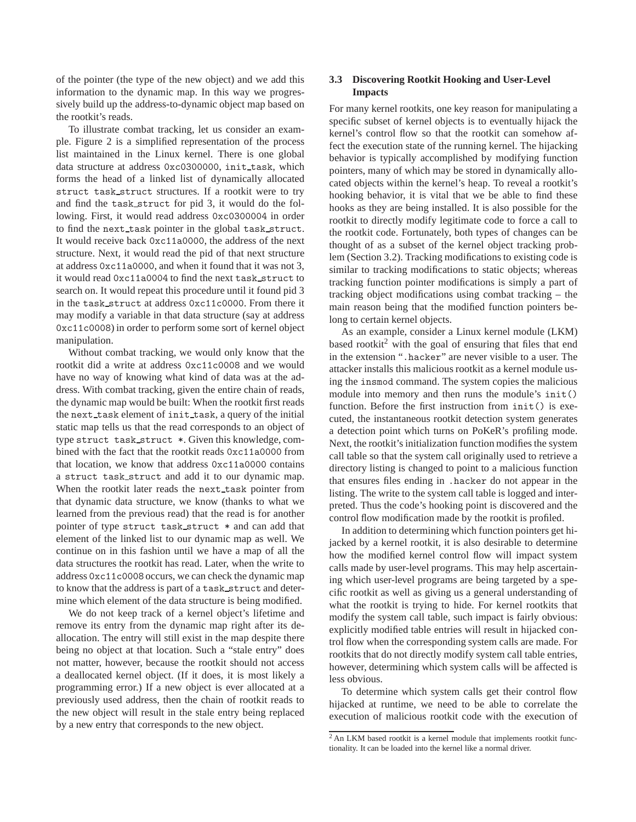of the pointer (the type of the new object) and we add this information to the dynamic map. In this way we progressively build up the address-to-dynamic object map based on the rootkit's reads.

To illustrate combat tracking, let us consider an example. Figure 2 is a simplified representation of the process list maintained in the Linux kernel. There is one global data structure at address 0xc0300000, init\_task, which forms the head of a linked list of dynamically allocated struct task struct structures. If a rootkit were to try and find the task struct for pid 3, it would do the following. First, it would read address 0xc0300004 in order to find the next\_task pointer in the global task\_struct. It would receive back 0xc11a0000, the address of the next structure. Next, it would read the pid of that next structure at address 0xc11a0000, and when it found that it was not 3, it would read 0xc11a0004 to find the next task struct to search on. It would repeat this procedure until it found pid 3 in the task struct at address 0xc11c0000. From there it may modify a variable in that data structure (say at address 0xc11c0008) in order to perform some sort of kernel object manipulation.

Without combat tracking, we would only know that the rootkit did a write at address 0xc11c0008 and we would have no way of knowing what kind of data was at the address. With combat tracking, given the entire chain of reads, the dynamic map would be built: When the rootkit first reads the next task element of init task, a query of the initial static map tells us that the read corresponds to an object of type struct task struct \*. Given this knowledge, combined with the fact that the rootkit reads 0xc11a0000 from that location, we know that address 0xc11a0000 contains a struct task struct and add it to our dynamic map. When the rootkit later reads the next task pointer from that dynamic data structure, we know (thanks to what we learned from the previous read) that the read is for another pointer of type struct task struct \* and can add that element of the linked list to our dynamic map as well. We continue on in this fashion until we have a map of all the data structures the rootkit has read. Later, when the write to address 0xc11c0008 occurs, we can check the dynamic map to know that the address is part of a task struct and determine which element of the data structure is being modified.

We do not keep track of a kernel object's lifetime and remove its entry from the dynamic map right after its deallocation. The entry will still exist in the map despite there being no object at that location. Such a "stale entry" does not matter, however, because the rootkit should not access a deallocated kernel object. (If it does, it is most likely a programming error.) If a new object is ever allocated at a previously used address, then the chain of rootkit reads to the new object will result in the stale entry being replaced by a new entry that corresponds to the new object.

## **3.3 Discovering Rootkit Hooking and User-Level Impacts**

For many kernel rootkits, one key reason for manipulating a specific subset of kernel objects is to eventually hijack the kernel's control flow so that the rootkit can somehow affect the execution state of the running kernel. The hijacking behavior is typically accomplished by modifying function pointers, many of which may be stored in dynamically allocated objects within the kernel's heap. To reveal a rootkit's hooking behavior, it is vital that we be able to find these hooks as they are being installed. It is also possible for the rootkit to directly modify legitimate code to force a call to the rootkit code. Fortunately, both types of changes can be thought of as a subset of the kernel object tracking problem (Section 3.2). Tracking modifications to existing code is similar to tracking modifications to static objects; whereas tracking function pointer modifications is simply a part of tracking object modifications using combat tracking – the main reason being that the modified function pointers belong to certain kernel objects.

As an example, consider a Linux kernel module (LKM) based rootkit<sup>2</sup> with the goal of ensuring that files that end in the extension ".hacker" are never visible to a user. The attacker installs this malicious rootkit as a kernel module using the insmod command. The system copies the malicious module into memory and then runs the module's init() function. Before the first instruction from init() is executed, the instantaneous rootkit detection system generates a detection point which turns on PoKeR's profiling mode. Next, the rootkit's initialization function modifies the system call table so that the system call originally used to retrieve a directory listing is changed to point to a malicious function that ensures files ending in .hacker do not appear in the listing. The write to the system call table is logged and interpreted. Thus the code's hooking point is discovered and the control flow modification made by the rootkit is profiled.

In addition to determining which function pointers get hijacked by a kernel rootkit, it is also desirable to determine how the modified kernel control flow will impact system calls made by user-level programs. This may help ascertaining which user-level programs are being targeted by a specific rootkit as well as giving us a general understanding of what the rootkit is trying to hide. For kernel rootkits that modify the system call table, such impact is fairly obvious: explicitly modified table entries will result in hijacked control flow when the corresponding system calls are made. For rootkits that do not directly modify system call table entries, however, determining which system calls will be affected is less obvious.

To determine which system calls get their control flow hijacked at runtime, we need to be able to correlate the execution of malicious rootkit code with the execution of

 $2$ An LKM based rootkit is a kernel module that implements rootkit functionality. It can be loaded into the kernel like a normal driver.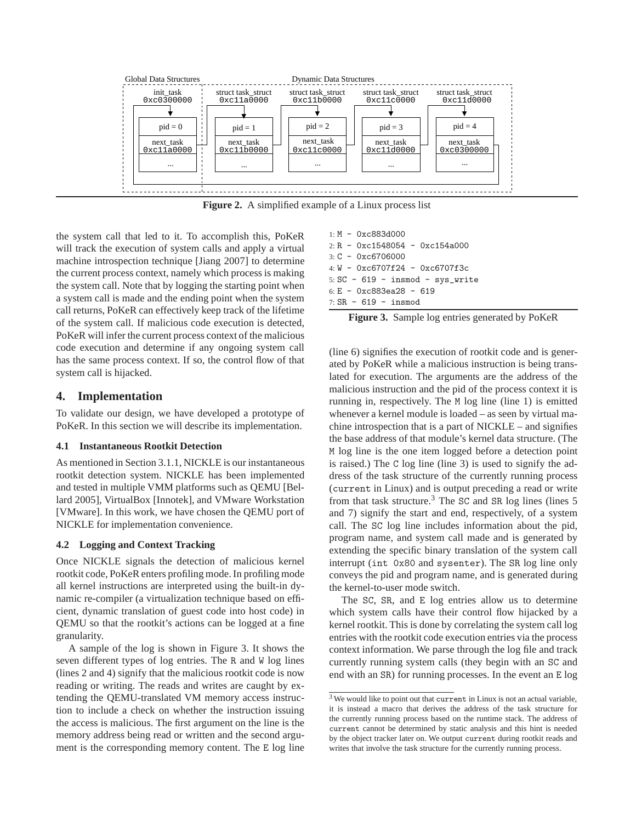

**Figure 2.** A simplified example of a Linux process list

the system call that led to it. To accomplish this, PoKeR will track the execution of system calls and apply a virtual machine introspection technique [Jiang 2007] to determine the current process context, namely which process is making the system call. Note that by logging the starting point when a system call is made and the ending point when the system call returns, PoKeR can effectively keep track of the lifetime of the system call. If malicious code execution is detected, PoKeR will infer the current process context of the malicious code execution and determine if any ongoing system call has the same process context. If so, the control flow of that system call is hijacked.

## **4. Implementation**

To validate our design, we have developed a prototype of PoKeR. In this section we will describe its implementation.

## **4.1 Instantaneous Rootkit Detection**

As mentioned in Section 3.1.1, NICKLE is our instantaneous rootkit detection system. NICKLE has been implemented and tested in multiple VMM platforms such as QEMU [Bellard 2005], VirtualBox [Innotek], and VMware Workstation [VMware]. In this work, we have chosen the QEMU port of NICKLE for implementation convenience.

#### **4.2 Logging and Context Tracking**

Once NICKLE signals the detection of malicious kernel rootkit code, PoKeR enters profiling mode. In profiling mode all kernel instructions are interpreted using the built-in dynamic re-compiler (a virtualization technique based on efficient, dynamic translation of guest code into host code) in QEMU so that the rootkit's actions can be logged at a fine granularity.

A sample of the log is shown in Figure 3. It shows the seven different types of log entries. The R and W log lines (lines 2 and 4) signify that the malicious rootkit code is now reading or writing. The reads and writes are caught by extending the QEMU-translated VM memory access instruction to include a check on whether the instruction issuing the access is malicious. The first argument on the line is the memory address being read or written and the second argument is the corresponding memory content. The E log line

| $1: M - 0xc883d000$                 |
|-------------------------------------|
| 2: R - $0xc1548054 - 0xc154a000$    |
| $3: C - 0xc6706000$                 |
| $4: W - 0xc6707f24 - 0xc6707f3c$    |
| 5: $SC - 619 - insmod - sys\_write$ |
| $6: E - 0xc883ea28 - 619$           |
| $7: SR - 619 - insmod$              |

**Figure 3.** Sample log entries generated by PoKeR

(line 6) signifies the execution of rootkit code and is generated by PoKeR while a malicious instruction is being translated for execution. The arguments are the address of the malicious instruction and the pid of the process context it is running in, respectively. The M log line (line 1) is emitted whenever a kernel module is loaded – as seen by virtual machine introspection that is a part of NICKLE – and signifies the base address of that module's kernel data structure. (The M log line is the one item logged before a detection point is raised.) The C log line (line 3) is used to signify the address of the task structure of the currently running process (current in Linux) and is output preceding a read or write from that task structure.<sup>3</sup> The SC and SR log lines (lines  $5$ and 7) signify the start and end, respectively, of a system call. The SC log line includes information about the pid, program name, and system call made and is generated by extending the specific binary translation of the system call interrupt (int 0x80 and sysenter). The SR log line only conveys the pid and program name, and is generated during the kernel-to-user mode switch.

The SC, SR, and E log entries allow us to determine which system calls have their control flow hijacked by a kernel rootkit. This is done by correlating the system call log entries with the rootkit code execution entries via the process context information. We parse through the log file and track currently running system calls (they begin with an SC and end with an SR) for running processes. In the event an E log

<sup>&</sup>lt;sup>3</sup> We would like to point out that current in Linux is not an actual variable, it is instead a macro that derives the address of the task structure for the currently running process based on the runtime stack. The address of current cannot be determined by static analysis and this hint is needed by the object tracker later on. We output current during rootkit reads and writes that involve the task structure for the currently running process.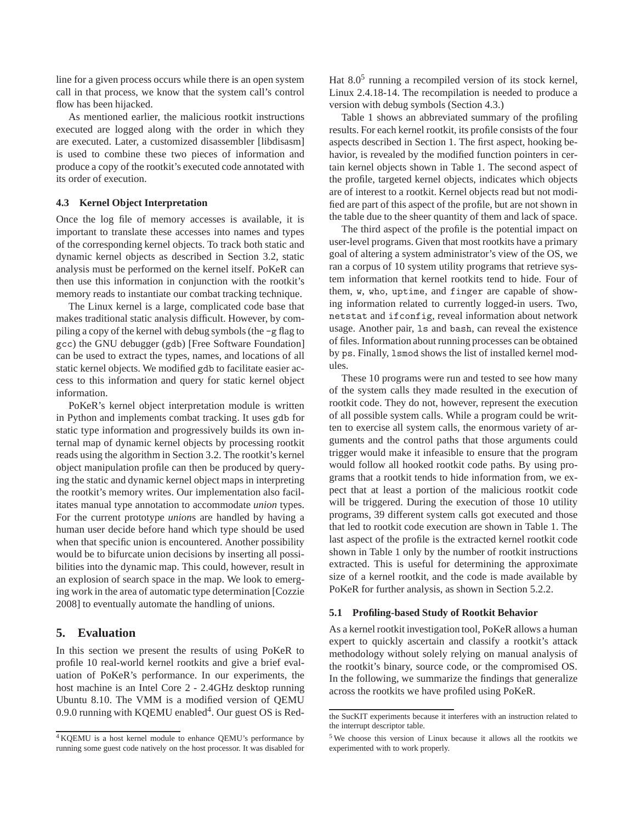line for a given process occurs while there is an open system call in that process, we know that the system call's control flow has been hijacked.

As mentioned earlier, the malicious rootkit instructions executed are logged along with the order in which they are executed. Later, a customized disassembler [libdisasm] is used to combine these two pieces of information and produce a copy of the rootkit's executed code annotated with its order of execution.

## **4.3 Kernel Object Interpretation**

Once the log file of memory accesses is available, it is important to translate these accesses into names and types of the corresponding kernel objects. To track both static and dynamic kernel objects as described in Section 3.2, static analysis must be performed on the kernel itself. PoKeR can then use this information in conjunction with the rootkit's memory reads to instantiate our combat tracking technique.

The Linux kernel is a large, complicated code base that makes traditional static analysis difficult. However, by compiling a copy of the kernel with debug symbols (the -g flag to gcc) the GNU debugger (gdb) [Free Software Foundation] can be used to extract the types, names, and locations of all static kernel objects. We modified gdb to facilitate easier access to this information and query for static kernel object information.

PoKeR's kernel object interpretation module is written in Python and implements combat tracking. It uses gdb for static type information and progressively builds its own internal map of dynamic kernel objects by processing rootkit reads using the algorithm in Section 3.2. The rootkit's kernel object manipulation profile can then be produced by querying the static and dynamic kernel object maps in interpreting the rootkit's memory writes. Our implementation also facilitates manual type annotation to accommodate *union* types. For the current prototype *union*s are handled by having a human user decide before hand which type should be used when that specific union is encountered. Another possibility would be to bifurcate union decisions by inserting all possibilities into the dynamic map. This could, however, result in an explosion of search space in the map. We look to emerging work in the area of automatic type determination [Cozzie 2008] to eventually automate the handling of unions.

## **5. Evaluation**

In this section we present the results of using PoKeR to profile 10 real-world kernel rootkits and give a brief evaluation of PoKeR's performance. In our experiments, the host machine is an Intel Core 2 - 2.4GHz desktop running Ubuntu 8.10. The VMM is a modified version of QEMU 0.9.0 running with KQEMU enabled<sup>4</sup>. Our guest OS is Red-

Hat  $8.0<sup>5</sup>$  running a recompiled version of its stock kernel, Linux 2.4.18-14. The recompilation is needed to produce a version with debug symbols (Section 4.3.)

Table 1 shows an abbreviated summary of the profiling results. For each kernel rootkit, its profile consists of the four aspects described in Section 1. The first aspect, hooking behavior, is revealed by the modified function pointers in certain kernel objects shown in Table 1. The second aspect of the profile, targeted kernel objects, indicates which objects are of interest to a rootkit. Kernel objects read but not modified are part of this aspect of the profile, but are not shown in the table due to the sheer quantity of them and lack of space.

The third aspect of the profile is the potential impact on user-level programs. Given that most rootkits have a primary goal of altering a system administrator's view of the OS, we ran a corpus of 10 system utility programs that retrieve system information that kernel rootkits tend to hide. Four of them, w, who, uptime, and finger are capable of showing information related to currently logged-in users. Two, netstat and ifconfig, reveal information about network usage. Another pair, ls and bash, can reveal the existence of files. Information about running processes can be obtained by ps. Finally, lsmod shows the list of installed kernel modules.

These 10 programs were run and tested to see how many of the system calls they made resulted in the execution of rootkit code. They do not, however, represent the execution of all possible system calls. While a program could be written to exercise all system calls, the enormous variety of arguments and the control paths that those arguments could trigger would make it infeasible to ensure that the program would follow all hooked rootkit code paths. By using programs that a rootkit tends to hide information from, we expect that at least a portion of the malicious rootkit code will be triggered. During the execution of those 10 utility programs, 39 different system calls got executed and those that led to rootkit code execution are shown in Table 1. The last aspect of the profile is the extracted kernel rootkit code shown in Table 1 only by the number of rootkit instructions extracted. This is useful for determining the approximate size of a kernel rootkit, and the code is made available by PoKeR for further analysis, as shown in Section 5.2.2.

## **5.1 Profiling-based Study of Rootkit Behavior**

As a kernel rootkit investigation tool, PoKeR allows a human expert to quickly ascertain and classify a rootkit's attack methodology without solely relying on manual analysis of the rootkit's binary, source code, or the compromised OS. In the following, we summarize the findings that generalize across the rootkits we have profiled using PoKeR.

<sup>4</sup> KQEMU is a host kernel module to enhance QEMU's performance by running some guest code natively on the host processor. It was disabled for

the SucKIT experiments because it interferes with an instruction related to the interrupt descriptor table.

<sup>5</sup> We choose this version of Linux because it allows all the rootkits we experimented with to work properly.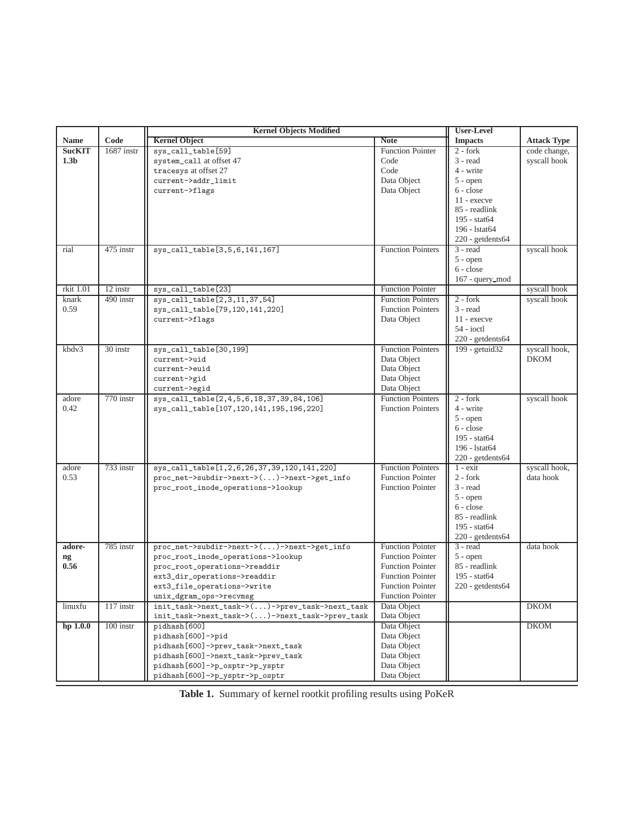|                  |              | <b>Kernel Objects Modified</b>                 | <b>User-Level</b>                                  |                                |                    |
|------------------|--------------|------------------------------------------------|----------------------------------------------------|--------------------------------|--------------------|
| <b>Name</b>      | Code         | <b>Kernel Object</b>                           | <b>Note</b>                                        | <b>Impacts</b>                 | <b>Attack Type</b> |
| <b>SucKIT</b>    | $1687$ instr | sys_call_table[59]                             | <b>Function Pointer</b>                            | $2 - fork$                     | code change,       |
| 1.3 <sub>b</sub> |              | system_call at offset 47                       | Code                                               | $3 - read$                     | syscall hook       |
|                  |              | tracesys at offset 27                          | Code                                               | 4 - write                      |                    |
|                  |              | current->addr_limit                            | Data Object                                        | $5 -$ open                     |                    |
|                  |              | current->flags                                 | Data Object                                        | $6 - close$                    |                    |
|                  |              |                                                |                                                    | $11 -$ execve                  |                    |
|                  |              |                                                |                                                    | 85 - readlink                  |                    |
|                  |              |                                                |                                                    | 195 - stat64                   |                    |
|                  |              |                                                |                                                    | 196 - 1stat64                  |                    |
|                  | 475 instr    | sys_call_table[3,5,6,141,167]                  | <b>Function Pointers</b>                           | 220 - getdents64<br>$3 - read$ |                    |
| rial             |              |                                                |                                                    | $5$ - open                     | syscall hook       |
|                  |              |                                                |                                                    | 6 - close                      |                    |
|                  |              |                                                |                                                    | 167 - query_mod                |                    |
| rkit 1.01        | 12 instr     | sys_call_table[23]                             | <b>Function Pointer</b>                            |                                | syscall hook       |
| knark            | 490 instr    | sys_call_table[2,3,11,37,54]                   | <b>Function Pointers</b>                           | $2 - fork$                     | syscall hook       |
| 0.59             |              | sys_call_table[79,120,141,220]                 | <b>Function Pointers</b>                           | $3 - read$                     |                    |
|                  |              | current->flags                                 | Data Object                                        | $11 -$ execve                  |                    |
|                  |              |                                                |                                                    | $54 - i$ octl                  |                    |
|                  |              |                                                |                                                    | 220 - getdents64               |                    |
| kbdv3            | 30 instr     | sys_call_table[30,199]                         | <b>Function Pointers</b>                           | 199 - getuid32                 | syscall hook,      |
|                  |              | current->uid                                   | Data Object                                        |                                | <b>DKOM</b>        |
|                  |              | current->euid                                  | Data Object                                        |                                |                    |
|                  |              | current->gid                                   | Data Object                                        |                                |                    |
|                  |              | current->egid                                  | Data Object                                        |                                |                    |
| adore            | 770 instr    | sys_call_table[2,4,5,6,18,37,39,84,106]        | <b>Function Pointers</b>                           | $2 - fork$                     | syscall hook       |
| 0.42             |              | sys_call_table[107,120,141,195,196,220]        | <b>Function Pointers</b>                           | 4 - write                      |                    |
|                  |              |                                                |                                                    | $5$ - open                     |                    |
|                  |              |                                                |                                                    | 6 - close                      |                    |
|                  |              |                                                |                                                    | 195 - stat64                   |                    |
|                  |              |                                                |                                                    | 196 - Istat64                  |                    |
|                  |              |                                                |                                                    | 220 - getdents64               |                    |
| adore            | 733 instr    | sys_call_table[1,2,6,26,37,39,120,141,220]     | <b>Function Pointers</b>                           | $1 - exit$<br>$2 - fork$       | syscall hook,      |
| 0.53             |              | proc_net->subdir->next->()->next->get_info     | <b>Function Pointer</b><br><b>Function Pointer</b> | $3 - read$                     | data hook          |
|                  |              | proc_root_inode_operations->lookup             |                                                    | $5$ - open                     |                    |
|                  |              |                                                |                                                    | $6 - close$                    |                    |
|                  |              |                                                |                                                    | 85 - readlink                  |                    |
|                  |              |                                                |                                                    | 195 - stat64                   |                    |
|                  |              |                                                |                                                    | 220 - getdents64               |                    |
| adore-           | 785 instr    | proc_net->subdir->next->()->next->get_info     | <b>Function Pointer</b>                            | $3 - read$                     | data hook          |
| ng               |              | proc_root_inode_operations->lookup             | <b>Function Pointer</b>                            | $5$ - open                     |                    |
| 0.56             |              | proc_root_operations->readdir                  | <b>Function Pointer</b>                            | 85 - readlink                  |                    |
|                  |              | ext3_dir_operations->readdir                   | <b>Function Pointer</b>                            | 195 - stat64                   |                    |
|                  |              | ext3_file_operations->write                    | <b>Function Pointer</b>                            | 220 - getdents64               |                    |
|                  |              | unix_dgram_ops->recvmsg                        | <b>Function Pointer</b>                            |                                |                    |
| linuxfu          | 117 instr    | init_task->next_task->()->prev_task->next_task | Data Object                                        |                                | <b>DKOM</b>        |
|                  |              | init_task->next_task->()->next_task->prev_task | Data Object                                        |                                |                    |
| $hp$ 1.0.0       | 100 instr    | pidhash[600]                                   | Data Object                                        |                                | <b>DKOM</b>        |
|                  |              | pidhash[600]->pid                              | Data Object                                        |                                |                    |
|                  |              | pidhash[600]->prev_task->next_task             | Data Object                                        |                                |                    |
|                  |              | pidhash[600]->next_task->prev_task             | Data Object                                        |                                |                    |
|                  |              | pidhash[600]->p_osptr->p_ysptr                 | Data Object                                        |                                |                    |
|                  |              | pidhash[600]->p_ysptr->p_osptr                 | Data Object                                        |                                |                    |

**Table 1.** Summary of kernel rootkit profiling results using PoKeR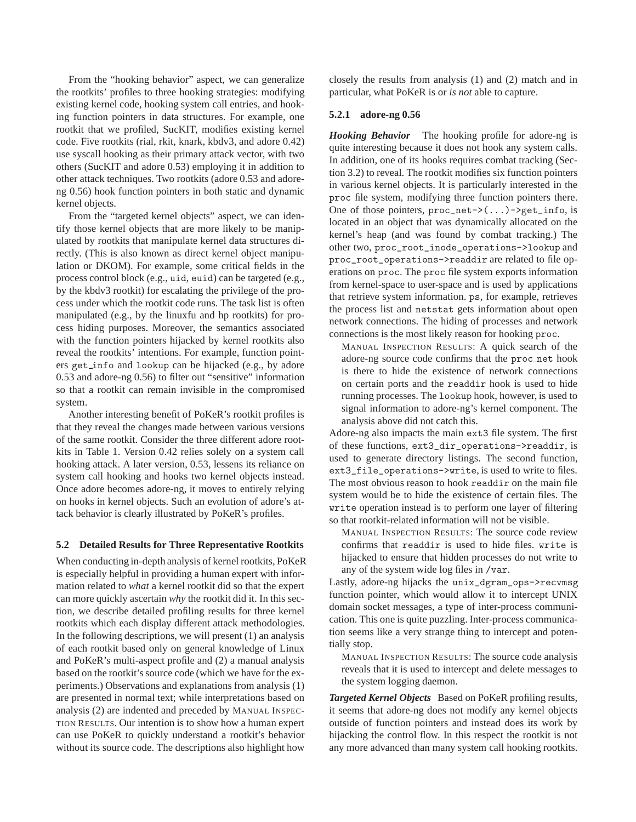From the "hooking behavior" aspect, we can generalize the rootkits' profiles to three hooking strategies: modifying existing kernel code, hooking system call entries, and hooking function pointers in data structures. For example, one rootkit that we profiled, SucKIT, modifies existing kernel code. Five rootkits (rial, rkit, knark, kbdv3, and adore 0.42) use syscall hooking as their primary attack vector, with two others (SucKIT and adore 0.53) employing it in addition to other attack techniques. Two rootkits (adore 0.53 and adoreng 0.56) hook function pointers in both static and dynamic kernel objects.

From the "targeted kernel objects" aspect, we can identify those kernel objects that are more likely to be manipulated by rootkits that manipulate kernel data structures directly. (This is also known as direct kernel object manipulation or DKOM). For example, some critical fields in the process control block (e.g., uid, euid) can be targeted (e.g., by the kbdv3 rootkit) for escalating the privilege of the process under which the rootkit code runs. The task list is often manipulated (e.g., by the linuxfu and hp rootkits) for process hiding purposes. Moreover, the semantics associated with the function pointers hijacked by kernel rootkits also reveal the rootkits' intentions. For example, function pointers get info and lookup can be hijacked (e.g., by adore 0.53 and adore-ng 0.56) to filter out "sensitive" information so that a rootkit can remain invisible in the compromised system.

Another interesting benefit of PoKeR's rootkit profiles is that they reveal the changes made between various versions of the same rootkit. Consider the three different adore rootkits in Table 1. Version 0.42 relies solely on a system call hooking attack. A later version, 0.53, lessens its reliance on system call hooking and hooks two kernel objects instead. Once adore becomes adore-ng, it moves to entirely relying on hooks in kernel objects. Such an evolution of adore's attack behavior is clearly illustrated by PoKeR's profiles.

## **5.2 Detailed Results for Three Representative Rootkits**

When conducting in-depth analysis of kernel rootkits, PoKeR is especially helpful in providing a human expert with information related to *what* a kernel rootkit did so that the expert can more quickly ascertain *why* the rootkit did it. In this section, we describe detailed profiling results for three kernel rootkits which each display different attack methodologies. In the following descriptions, we will present (1) an analysis of each rootkit based only on general knowledge of Linux and PoKeR's multi-aspect profile and (2) a manual analysis based on the rootkit's source code (which we have for the experiments.) Observations and explanations from analysis (1) are presented in normal text; while interpretations based on analysis (2) are indented and preceded by MANUAL INSPEC-TION RESULTS. Our intention is to show how a human expert can use PoKeR to quickly understand a rootkit's behavior without its source code. The descriptions also highlight how

closely the results from analysis (1) and (2) match and in particular, what PoKeR is or *is not* able to capture.

#### **5.2.1 adore-ng 0.56**

*Hooking Behavior* The hooking profile for adore-ng is quite interesting because it does not hook any system calls. In addition, one of its hooks requires combat tracking (Section 3.2) to reveal. The rootkit modifies six function pointers in various kernel objects. It is particularly interested in the proc file system, modifying three function pointers there. One of those pointers,  $proc\_net->(...)->get\_info$ , is located in an object that was dynamically allocated on the kernel's heap (and was found by combat tracking.) The other two, proc\_root\_inode\_operations->lookup and proc\_root\_operations->readdir are related to file operations on proc. The proc file system exports information from kernel-space to user-space and is used by applications that retrieve system information. ps, for example, retrieves the process list and netstat gets information about open network connections. The hiding of processes and network connections is the most likely reason for hooking proc.

MANUAL INSPECTION RESULTS: A quick search of the adore-ng source code confirms that the proc net hook is there to hide the existence of network connections on certain ports and the readdir hook is used to hide running processes. The lookup hook, however, is used to signal information to adore-ng's kernel component. The analysis above did not catch this.

Adore-ng also impacts the main ext3 file system. The first of these functions, ext3\_dir\_operations->readdir, is used to generate directory listings. The second function, ext3\_file\_operations->write, is used to write to files. The most obvious reason to hook readdir on the main file system would be to hide the existence of certain files. The write operation instead is to perform one layer of filtering so that rootkit-related information will not be visible.

MANUAL INSPECTION RESULTS: The source code review confirms that readdir is used to hide files. write is hijacked to ensure that hidden processes do not write to any of the system wide log files in /var.

Lastly, adore-ng hijacks the unix\_dgram\_ops->recvmsg function pointer, which would allow it to intercept UNIX domain socket messages, a type of inter-process communication. This one is quite puzzling. Inter-process communication seems like a very strange thing to intercept and potentially stop.

MANUAL INSPECTION RESULTS: The source code analysis reveals that it is used to intercept and delete messages to the system logging daemon.

*Targeted Kernel Objects* Based on PoKeR profiling results, it seems that adore-ng does not modify any kernel objects outside of function pointers and instead does its work by hijacking the control flow. In this respect the rootkit is not any more advanced than many system call hooking rootkits.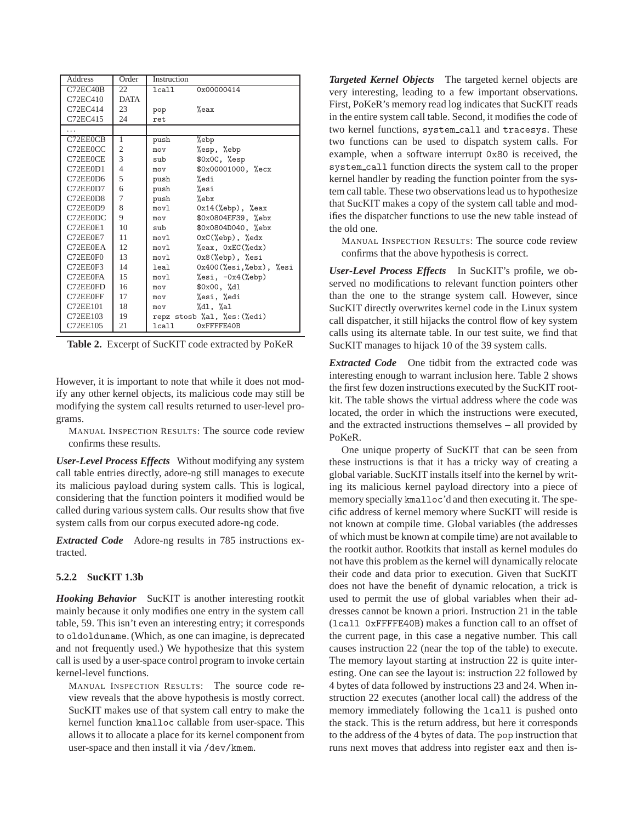| Address  | Order          | Instruction |                              |
|----------|----------------|-------------|------------------------------|
| C72EC40B | 22             | lcal1       | 0x00000414                   |
| C72EC410 | <b>DATA</b>    |             |                              |
| C72EC414 | 23             | pop         | %eax                         |
| C72EC415 | 24             | ret         |                              |
| .        |                |             |                              |
| C72EE0CB | 1              | push        | %ebp                         |
| C72EE0CC | 2              | mov         | %esp, %ebp                   |
| C72EE0CE | 3              | sub         | \$0x0C, %esp                 |
| C72EE0D1 | $\overline{4}$ | mov         | $0x00001000, %$ ecx          |
| C72EE0D6 | 5              | push        | %edi                         |
| C72EE0D7 | 6              | push        | %esi                         |
| C72EE0D8 | 7              | push        | %ebx                         |
| C72EE0D9 | 8              | movl        | $0x14$ (%ebp), %eax          |
| C72EE0DC | 9              | mov         | \$0x0804EF39, %ebx           |
| C72EE0E1 | 10             | sub         | $0x0804D040.$ %ebx           |
| C72EE0E7 | 11             | movl        | $0xC$ (%ebp), %edx           |
| C72EE0EA | 12             | movl        | $\%$ eax, $0$ xEC $(\%$ edx) |
| C72EE0F0 | 13             | mov1        | $0x8$ (%ebp), %esi           |
| C72EE0F3 | 14             | leal        | $0x400$ (%esi,%ebx), %esi    |
| C72EE0FA | 15             | movl        | %esi, -Ox4(%ebp)             |
| C72EE0FD | 16             | mov         | $0x00,$ %dl                  |
| C72EE0FF | 17             | mov         | %esi, %edi                   |
| C72EE101 | 18             | mov         | %dl, %al                     |
| C72EE103 | 19             |             | repz stosb %al, %es: (%edi)  |
| C72EE105 | 21             | lcal1       | OxFFFFE40B                   |

**Table 2.** Excerpt of SucKIT code extracted by PoKeR

However, it is important to note that while it does not modify any other kernel objects, its malicious code may still be modifying the system call results returned to user-level programs.

MANUAL INSPECTION RESULTS: The source code review confirms these results.

*User-Level Process Effects* Without modifying any system call table entries directly, adore-ng still manages to execute its malicious payload during system calls. This is logical, considering that the function pointers it modified would be called during various system calls. Our results show that five system calls from our corpus executed adore-ng code.

*Extracted Code* Adore-ng results in 785 instructions extracted.

## **5.2.2 SucKIT 1.3b**

*Hooking Behavior* SucKIT is another interesting rootkit mainly because it only modifies one entry in the system call table, 59. This isn't even an interesting entry; it corresponds to oldolduname. (Which, as one can imagine, is deprecated and not frequently used.) We hypothesize that this system call is used by a user-space control program to invoke certain kernel-level functions.

MANUAL INSPECTION RESULTS: The source code review reveals that the above hypothesis is mostly correct. SucKIT makes use of that system call entry to make the kernel function kmalloc callable from user-space. This allows it to allocate a place for its kernel component from user-space and then install it via /dev/kmem.

*Targeted Kernel Objects* The targeted kernel objects are very interesting, leading to a few important observations. First, PoKeR's memory read log indicates that SucKIT reads in the entire system call table. Second, it modifies the code of two kernel functions, system call and tracesys. These two functions can be used to dispatch system calls. For example, when a software interrupt 0x80 is received, the system call function directs the system call to the proper kernel handler by reading the function pointer from the system call table. These two observations lead us to hypothesize that SucKIT makes a copy of the system call table and modifies the dispatcher functions to use the new table instead of the old one.

MANUAL INSPECTION RESULTS: The source code review confirms that the above hypothesis is correct.

*User-Level Process Effects* In SucKIT's profile, we observed no modifications to relevant function pointers other than the one to the strange system call. However, since SucKIT directly overwrites kernel code in the Linux system call dispatcher, it still hijacks the control flow of key system calls using its alternate table. In our test suite, we find that SucKIT manages to hijack 10 of the 39 system calls.

*Extracted Code* One tidbit from the extracted code was interesting enough to warrant inclusion here. Table 2 shows the first few dozen instructions executed by the SucKIT rootkit. The table shows the virtual address where the code was located, the order in which the instructions were executed, and the extracted instructions themselves – all provided by PoKeR.

One unique property of SucKIT that can be seen from these instructions is that it has a tricky way of creating a global variable. SucKIT installs itself into the kernel by writing its malicious kernel payload directory into a piece of memory specially kmalloc'd and then executing it. The specific address of kernel memory where SucKIT will reside is not known at compile time. Global variables (the addresses of which must be known at compile time) are not available to the rootkit author. Rootkits that install as kernel modules do not have this problem as the kernel will dynamically relocate their code and data prior to execution. Given that SucKIT does not have the benefit of dynamic relocation, a trick is used to permit the use of global variables when their addresses cannot be known a priori. Instruction 21 in the table (lcall 0xFFFFE40B) makes a function call to an offset of the current page, in this case a negative number. This call causes instruction 22 (near the top of the table) to execute. The memory layout starting at instruction 22 is quite interesting. One can see the layout is: instruction 22 followed by 4 bytes of data followed by instructions 23 and 24. When instruction 22 executes (another local call) the address of the memory immediately following the lcall is pushed onto the stack. This is the return address, but here it corresponds to the address of the 4 bytes of data. The pop instruction that runs next moves that address into register eax and then is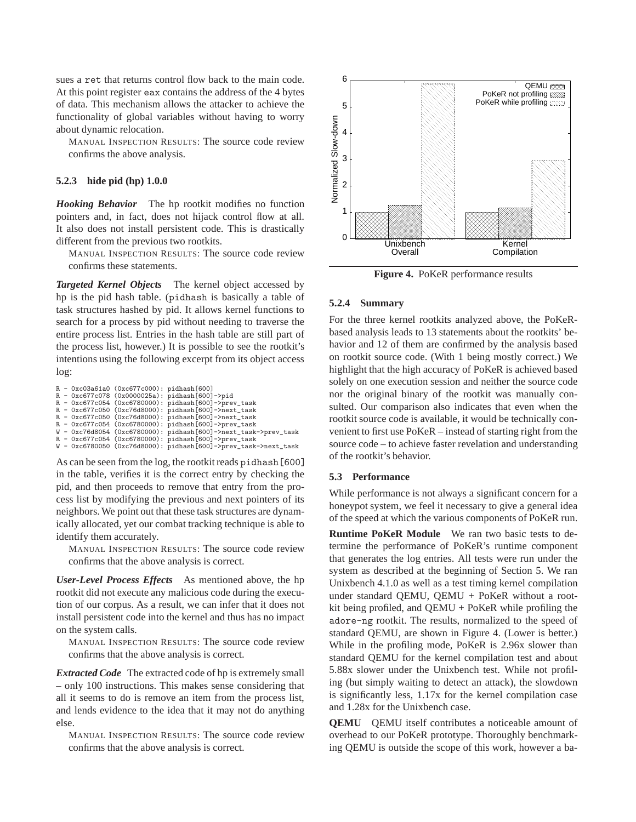sues a ret that returns control flow back to the main code. At this point register eax contains the address of the 4 bytes of data. This mechanism allows the attacker to achieve the functionality of global variables without having to worry about dynamic relocation.

MANUAL INSPECTION RESULTS: The source code review confirms the above analysis.

## **5.2.3 hide pid (hp) 1.0.0**

*Hooking Behavior* The hp rootkit modifies no function pointers and, in fact, does not hijack control flow at all. It also does not install persistent code. This is drastically different from the previous two rootkits.

MANUAL INSPECTION RESULTS: The source code review confirms these statements.

*Targeted Kernel Objects* The kernel object accessed by hp is the pid hash table. (pidhash is basically a table of task structures hashed by pid. It allows kernel functions to search for a process by pid without needing to traverse the entire process list. Entries in the hash table are still part of the process list, however.) It is possible to see the rootkit's intentions using the following excerpt from its object access log:

 $R - 0xc03a61a0 (0xc677c000): pidhash[600]$ <br> $R - 0xc677c078 (0x0000025a): pidhash[600]$ R - 0xc677c078 (0x0000025a): pidhash[600]->pid R - 0xc677c054 (0xc6780000): pidhash[600]->prev\_task  $R - 0xc677c050$  ( $0xc76d8000$ ): pidhash[600]->next\_task<br> $R - 0xc677c050$  ( $0xc76d8000$ ): pidhash[600]->next\_task R - 0xc677c050 (0xc76d8000): pidhash[600]->next\_task R - 0xc677c054 (0xc6780000): pidhash[600]->prev\_task W - 0xc76d8054 (0xc6780000): pidhash[600]->next\_task->prev\_task<br>R - 0xc677c054 (0xc6780000): pidhash[600]->prev\_task<br>W - 0xc6780050 (0xc76d8000): pidhash[600]->prev\_task->next\_task

As can be seen from the log, the rootkit reads pidhash[600] in the table, verifies it is the correct entry by checking the pid, and then proceeds to remove that entry from the process list by modifying the previous and next pointers of its neighbors. We point out that these task structures are dynamically allocated, yet our combat tracking technique is able to identify them accurately.

MANUAL INSPECTION RESULTS: The source code review confirms that the above analysis is correct.

*User-Level Process Effects* As mentioned above, the hp rootkit did not execute any malicious code during the execution of our corpus. As a result, we can infer that it does not install persistent code into the kernel and thus has no impact on the system calls.

MANUAL INSPECTION RESULTS: The source code review confirms that the above analysis is correct.

*Extracted Code* The extracted code of hp is extremely small – only 100 instructions. This makes sense considering that all it seems to do is remove an item from the process list, and lends evidence to the idea that it may not do anything else.

MANUAL INSPECTION RESULTS: The source code review confirms that the above analysis is correct.



**Figure 4.** PoKeR performance results

## **5.2.4 Summary**

For the three kernel rootkits analyzed above, the PoKeRbased analysis leads to 13 statements about the rootkits' behavior and 12 of them are confirmed by the analysis based on rootkit source code. (With 1 being mostly correct.) We highlight that the high accuracy of PoKeR is achieved based solely on one execution session and neither the source code nor the original binary of the rootkit was manually consulted. Our comparison also indicates that even when the rootkit source code is available, it would be technically convenient to first use PoKeR – instead of starting right from the source code – to achieve faster revelation and understanding of the rootkit's behavior.

## **5.3 Performance**

While performance is not always a significant concern for a honeypot system, we feel it necessary to give a general idea of the speed at which the various components of PoKeR run.

**Runtime PoKeR Module** We ran two basic tests to determine the performance of PoKeR's runtime component that generates the log entries. All tests were run under the system as described at the beginning of Section 5. We ran Unixbench 4.1.0 as well as a test timing kernel compilation under standard QEMU, QEMU + PoKeR without a rootkit being profiled, and QEMU + PoKeR while profiling the adore-ng rootkit. The results, normalized to the speed of standard QEMU, are shown in Figure 4. (Lower is better.) While in the profiling mode, PoKeR is 2.96x slower than standard QEMU for the kernel compilation test and about 5.88x slower under the Unixbench test. While not profiling (but simply waiting to detect an attack), the slowdown is significantly less, 1.17x for the kernel compilation case and 1.28x for the Unixbench case.

**QEMU** QEMU itself contributes a noticeable amount of overhead to our PoKeR prototype. Thoroughly benchmarking QEMU is outside the scope of this work, however a ba-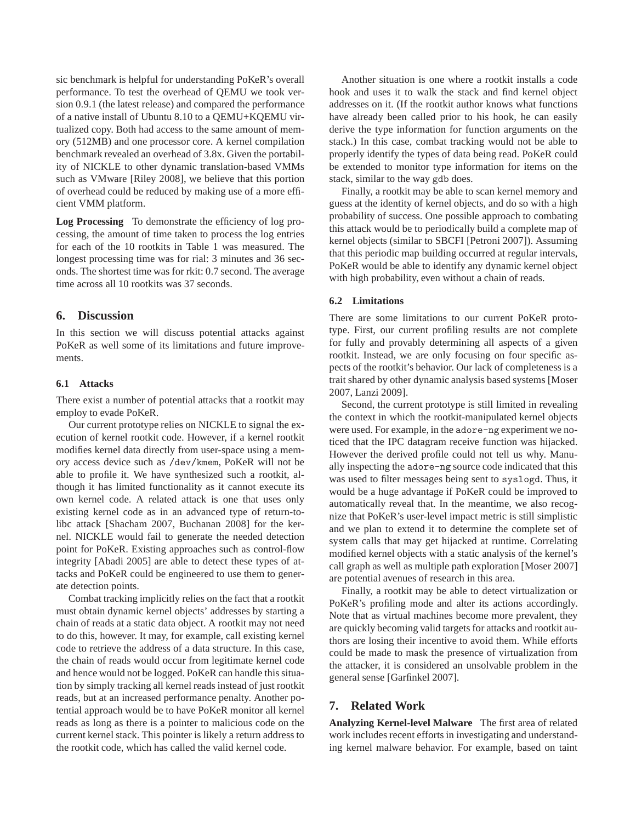sic benchmark is helpful for understanding PoKeR's overall performance. To test the overhead of QEMU we took version 0.9.1 (the latest release) and compared the performance of a native install of Ubuntu 8.10 to a QEMU+KQEMU virtualized copy. Both had access to the same amount of memory (512MB) and one processor core. A kernel compilation benchmark revealed an overhead of 3.8x. Given the portability of NICKLE to other dynamic translation-based VMMs such as VMware [Riley 2008], we believe that this portion of overhead could be reduced by making use of a more efficient VMM platform.

**Log Processing** To demonstrate the efficiency of log processing, the amount of time taken to process the log entries for each of the 10 rootkits in Table 1 was measured. The longest processing time was for rial: 3 minutes and 36 seconds. The shortest time was for rkit: 0.7 second. The average time across all 10 rootkits was 37 seconds.

## **6. Discussion**

In this section we will discuss potential attacks against PoKeR as well some of its limitations and future improvements.

## **6.1 Attacks**

There exist a number of potential attacks that a rootkit may employ to evade PoKeR.

Our current prototype relies on NICKLE to signal the execution of kernel rootkit code. However, if a kernel rootkit modifies kernel data directly from user-space using a memory access device such as /dev/kmem, PoKeR will not be able to profile it. We have synthesized such a rootkit, although it has limited functionality as it cannot execute its own kernel code. A related attack is one that uses only existing kernel code as in an advanced type of return-tolibc attack [Shacham 2007, Buchanan 2008] for the kernel. NICKLE would fail to generate the needed detection point for PoKeR. Existing approaches such as control-flow integrity [Abadi 2005] are able to detect these types of attacks and PoKeR could be engineered to use them to generate detection points.

Combat tracking implicitly relies on the fact that a rootkit must obtain dynamic kernel objects' addresses by starting a chain of reads at a static data object. A rootkit may not need to do this, however. It may, for example, call existing kernel code to retrieve the address of a data structure. In this case, the chain of reads would occur from legitimate kernel code and hence would not be logged. PoKeR can handle this situation by simply tracking all kernel reads instead of just rootkit reads, but at an increased performance penalty. Another potential approach would be to have PoKeR monitor all kernel reads as long as there is a pointer to malicious code on the current kernel stack. This pointer is likely a return address to the rootkit code, which has called the valid kernel code.

Another situation is one where a rootkit installs a code hook and uses it to walk the stack and find kernel object addresses on it. (If the rootkit author knows what functions have already been called prior to his hook, he can easily derive the type information for function arguments on the stack.) In this case, combat tracking would not be able to properly identify the types of data being read. PoKeR could be extended to monitor type information for items on the stack, similar to the way gdb does.

Finally, a rootkit may be able to scan kernel memory and guess at the identity of kernel objects, and do so with a high probability of success. One possible approach to combating this attack would be to periodically build a complete map of kernel objects (similar to SBCFI [Petroni 2007]). Assuming that this periodic map building occurred at regular intervals, PoKeR would be able to identify any dynamic kernel object with high probability, even without a chain of reads.

## **6.2 Limitations**

There are some limitations to our current PoKeR prototype. First, our current profiling results are not complete for fully and provably determining all aspects of a given rootkit. Instead, we are only focusing on four specific aspects of the rootkit's behavior. Our lack of completeness is a trait shared by other dynamic analysis based systems [Moser 2007, Lanzi 2009].

Second, the current prototype is still limited in revealing the context in which the rootkit-manipulated kernel objects were used. For example, in the adore-ng experiment we noticed that the IPC datagram receive function was hijacked. However the derived profile could not tell us why. Manually inspecting the adore-ng source code indicated that this was used to filter messages being sent to syslogd. Thus, it would be a huge advantage if PoKeR could be improved to automatically reveal that. In the meantime, we also recognize that PoKeR's user-level impact metric is still simplistic and we plan to extend it to determine the complete set of system calls that may get hijacked at runtime. Correlating modified kernel objects with a static analysis of the kernel's call graph as well as multiple path exploration [Moser 2007] are potential avenues of research in this area.

Finally, a rootkit may be able to detect virtualization or PoKeR's profiling mode and alter its actions accordingly. Note that as virtual machines become more prevalent, they are quickly becoming valid targets for attacks and rootkit authors are losing their incentive to avoid them. While efforts could be made to mask the presence of virtualization from the attacker, it is considered an unsolvable problem in the general sense [Garfinkel 2007].

## **7. Related Work**

**Analyzing Kernel-level Malware** The first area of related work includes recent efforts in investigating and understanding kernel malware behavior. For example, based on taint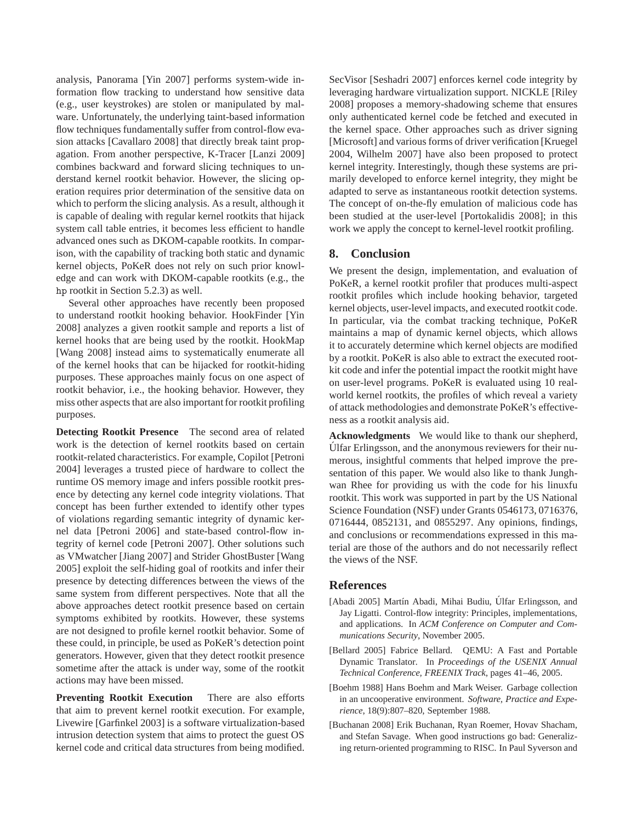analysis, Panorama [Yin 2007] performs system-wide information flow tracking to understand how sensitive data (e.g., user keystrokes) are stolen or manipulated by malware. Unfortunately, the underlying taint-based information flow techniques fundamentally suffer from control-flow evasion attacks [Cavallaro 2008] that directly break taint propagation. From another perspective, K-Tracer [Lanzi 2009] combines backward and forward slicing techniques to understand kernel rootkit behavior. However, the slicing operation requires prior determination of the sensitive data on which to perform the slicing analysis. As a result, although it is capable of dealing with regular kernel rootkits that hijack system call table entries, it becomes less efficient to handle advanced ones such as DKOM-capable rootkits. In comparison, with the capability of tracking both static and dynamic kernel objects, PoKeR does not rely on such prior knowledge and can work with DKOM-capable rootkits (e.g., the hp rootkit in Section 5.2.3) as well.

Several other approaches have recently been proposed to understand rootkit hooking behavior. HookFinder [Yin 2008] analyzes a given rootkit sample and reports a list of kernel hooks that are being used by the rootkit. HookMap [Wang 2008] instead aims to systematically enumerate all of the kernel hooks that can be hijacked for rootkit-hiding purposes. These approaches mainly focus on one aspect of rootkit behavior, i.e., the hooking behavior. However, they miss other aspects that are also important for rootkit profiling purposes.

**Detecting Rootkit Presence** The second area of related work is the detection of kernel rootkits based on certain rootkit-related characteristics. For example, Copilot [Petroni 2004] leverages a trusted piece of hardware to collect the runtime OS memory image and infers possible rootkit presence by detecting any kernel code integrity violations. That concept has been further extended to identify other types of violations regarding semantic integrity of dynamic kernel data [Petroni 2006] and state-based control-flow integrity of kernel code [Petroni 2007]. Other solutions such as VMwatcher [Jiang 2007] and Strider GhostBuster [Wang 2005] exploit the self-hiding goal of rootkits and infer their presence by detecting differences between the views of the same system from different perspectives. Note that all the above approaches detect rootkit presence based on certain symptoms exhibited by rootkits. However, these systems are not designed to profile kernel rootkit behavior. Some of these could, in principle, be used as PoKeR's detection point generators. However, given that they detect rootkit presence sometime after the attack is under way, some of the rootkit actions may have been missed.

**Preventing Rootkit Execution** There are also efforts that aim to prevent kernel rootkit execution. For example, Livewire [Garfinkel 2003] is a software virtualization-based intrusion detection system that aims to protect the guest OS kernel code and critical data structures from being modified. SecVisor [Seshadri 2007] enforces kernel code integrity by leveraging hardware virtualization support. NICKLE [Riley 2008] proposes a memory-shadowing scheme that ensures only authenticated kernel code be fetched and executed in the kernel space. Other approaches such as driver signing [Microsoft] and various forms of driver verification [Kruegel 2004, Wilhelm 2007] have also been proposed to protect kernel integrity. Interestingly, though these systems are primarily developed to enforce kernel integrity, they might be adapted to serve as instantaneous rootkit detection systems. The concept of on-the-fly emulation of malicious code has been studied at the user-level [Portokalidis 2008]; in this work we apply the concept to kernel-level rootkit profiling.

# **8. Conclusion**

We present the design, implementation, and evaluation of PoKeR, a kernel rootkit profiler that produces multi-aspect rootkit profiles which include hooking behavior, targeted kernel objects, user-level impacts, and executed rootkit code. In particular, via the combat tracking technique, PoKeR maintains a map of dynamic kernel objects, which allows it to accurately determine which kernel objects are modified by a rootkit. PoKeR is also able to extract the executed rootkit code and infer the potential impact the rootkit might have on user-level programs. PoKeR is evaluated using 10 realworld kernel rootkits, the profiles of which reveal a variety of attack methodologies and demonstrate PoKeR's effectiveness as a rootkit analysis aid.

**Acknowledgments** We would like to thank our shepherd, Ulfar Erlingsson, and the anonymous reviewers for their nu- ´ merous, insightful comments that helped improve the presentation of this paper. We would also like to thank Junghwan Rhee for providing us with the code for his linuxfu rootkit. This work was supported in part by the US National Science Foundation (NSF) under Grants 0546173, 0716376, 0716444, 0852131, and 0855297. Any opinions, findings, and conclusions or recommendations expressed in this material are those of the authors and do not necessarily reflect the views of the NSF.

## **References**

- [Abadi 2005] Martín Abadi, Mihai Budiu, Úlfar Erlingsson, and Jay Ligatti. Control-flow integrity: Principles, implementations, and applications. In *ACM Conference on Computer and Communications Security*, November 2005.
- [Bellard 2005] Fabrice Bellard. QEMU: A Fast and Portable Dynamic Translator. In *Proceedings of the USENIX Annual Technical Conference, FREENIX Track*, pages 41–46, 2005.
- [Boehm 1988] Hans Boehm and Mark Weiser. Garbage collection in an uncooperative environment. *Software, Practice and Experience*, 18(9):807–820, September 1988.
- [Buchanan 2008] Erik Buchanan, Ryan Roemer, Hovav Shacham, and Stefan Savage. When good instructions go bad: Generalizing return-oriented programming to RISC. In Paul Syverson and